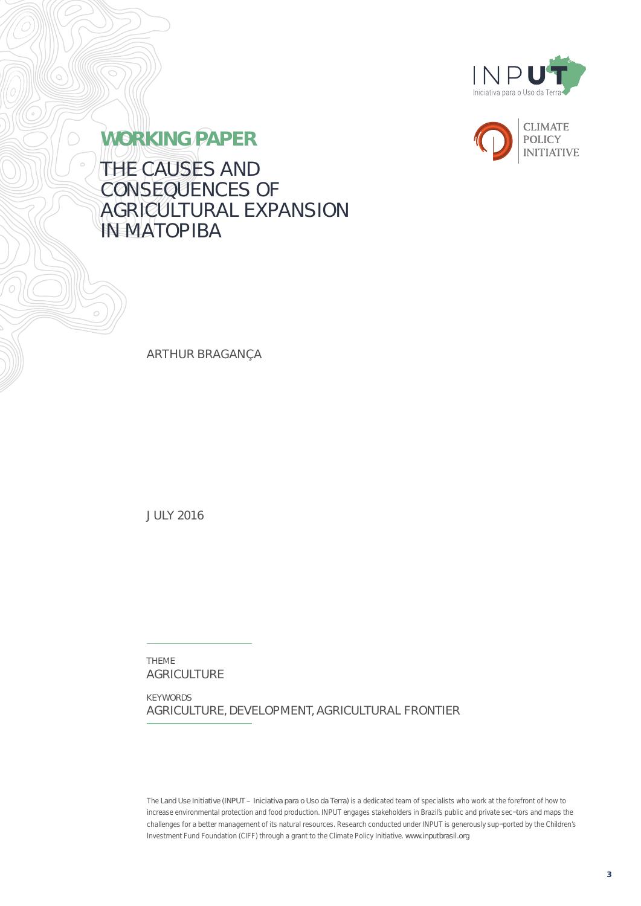



**WORKING PAPER** THE CAUSES AND CONSEQUENCES OF AGRICULTURAL EXPANSION **IN MATOPIBA** 

ARTHUR BRAGANÇA

JULY 2016

THEME AGRICULTURE

KEYWORDS AGRICULTURE, DEVELOPMENT, AGRICULTURAL FRONTIER

*The Land Use Initiative (INPUT – Iniciativa para o Uso da Terra) is a dedicated team of specialists who work at the forefront of how to increase environmental protection and food production. INPUT engages stakeholders in Brazil's public and private sec¬tors and maps the challenges for a better management of its natural resources. Research conducted under INPUT is generously sup¬ported by the Children's*  Investment Fund Foundation (CIFF) through a grant to the Climate Policy Initiative. www.inputbrasil.org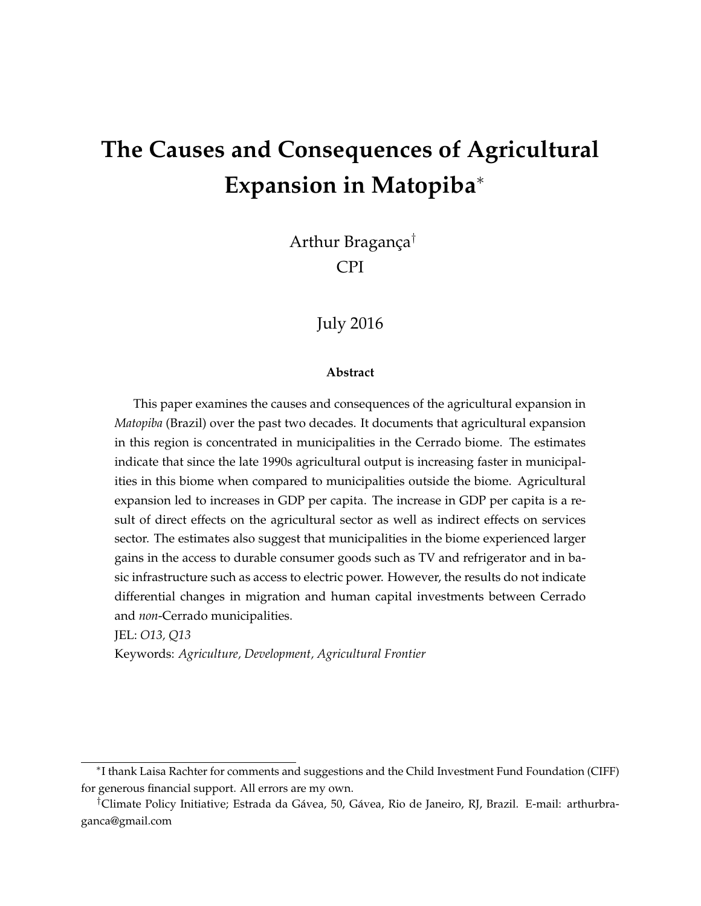# **The Causes and Consequences of Agricultural Expansion in Matopiba**<sup>∗</sup>

Arthur Bragança† CPI

### July 2016

#### **Abstract**

This paper examines the causes and consequences of the agricultural expansion in *Matopiba* (Brazil) over the past two decades. It documents that agricultural expansion in this region is concentrated in municipalities in the Cerrado biome. The estimates indicate that since the late 1990s agricultural output is increasing faster in municipalities in this biome when compared to municipalities outside the biome. Agricultural expansion led to increases in GDP per capita. The increase in GDP per capita is a result of direct effects on the agricultural sector as well as indirect effects on services sector. The estimates also suggest that municipalities in the biome experienced larger gains in the access to durable consumer goods such as TV and refrigerator and in basic infrastructure such as access to electric power. However, the results do not indicate differential changes in migration and human capital investments between Cerrado and *non*-Cerrado municipalities.

JEL: *O13, Q13*

Keywords: *Agriculture, Development, Agricultural Frontier*

<sup>∗</sup> I thank Laisa Rachter for comments and suggestions and the Child Investment Fund Foundation (CIFF) for generous financial support. All errors are my own.

<sup>†</sup>Climate Policy Initiative; Estrada da Gávea, 50, Gávea, Rio de Janeiro, RJ, Brazil. E-mail: arthurbraganca@gmail.com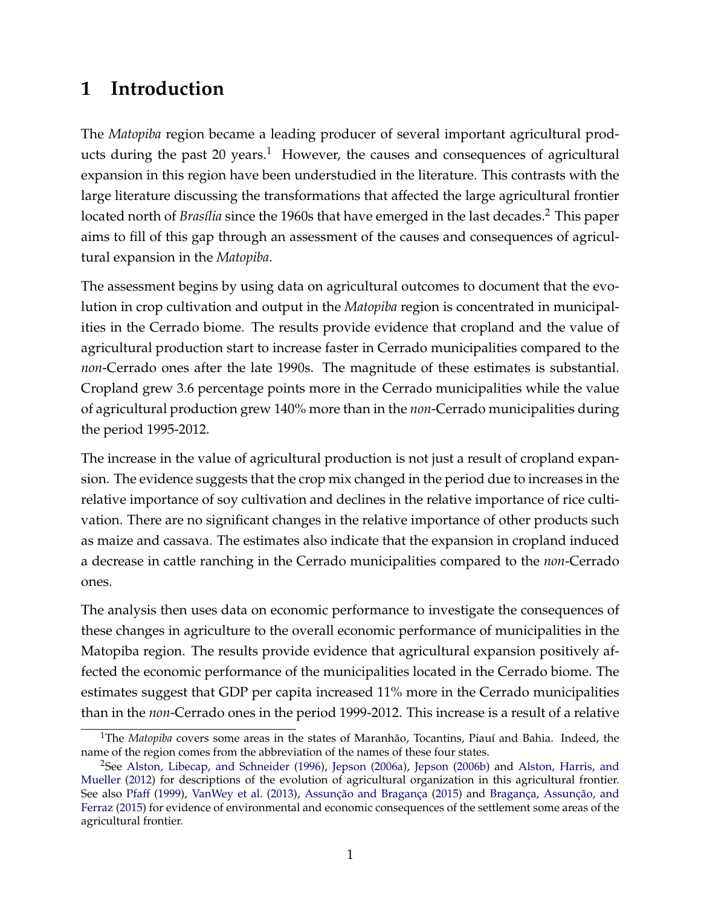# **1 Introduction**

The *Matopiba* region became a leading producer of several important agricultural products during the past 20 years.<sup>1</sup> However, the causes and consequences of agricultural expansion in this region have been understudied in the literature. This contrasts with the large literature discussing the transformations that affected the large agricultural frontier located north of *Brasília* since the 1960s that have emerged in the last decades.<sup>2</sup> This paper aims to fill of this gap through an assessment of the causes and consequences of agricultural expansion in the *Matopiba*.

The assessment begins by using data on agricultural outcomes to document that the evolution in crop cultivation and output in the *Matopiba* region is concentrated in municipalities in the Cerrado biome. The results provide evidence that cropland and the value of agricultural production start to increase faster in Cerrado municipalities compared to the *non*-Cerrado ones after the late 1990s. The magnitude of these estimates is substantial. Cropland grew 3.6 percentage points more in the Cerrado municipalities while the value of agricultural production grew 140% more than in the *non*-Cerrado municipalities during the period 1995-2012.

The increase in the value of agricultural production is not just a result of cropland expansion. The evidence suggests that the crop mix changed in the period due to increases in the relative importance of soy cultivation and declines in the relative importance of rice cultivation. There are no significant changes in the relative importance of other products such as maize and cassava. The estimates also indicate that the expansion in cropland induced a decrease in cattle ranching in the Cerrado municipalities compared to the *non*-Cerrado ones.

The analysis then uses data on economic performance to investigate the consequences of these changes in agriculture to the overall economic performance of municipalities in the Matopiba region. The results provide evidence that agricultural expansion positively affected the economic performance of the municipalities located in the Cerrado biome. The estimates suggest that GDP per capita increased 11% more in the Cerrado municipalities than in the *non*-Cerrado ones in the period 1999-2012. This increase is a result of a relative

<sup>1</sup>The *Matopiba* covers some areas in the states of Maranhão, Tocantins, Piauí and Bahia. Indeed, the name of the region comes from the abbreviation of the names of these four states.

<sup>&</sup>lt;sup>2</sup>See Alston, Libecap, and Schneider (1996), Jepson (2006a), Jepson (2006b) and Alston, Harris, and Mueller (2012) for descriptions of the evolution of agricultural organization in this agricultural frontier. See also Pfaff (1999), VanWey et al. (2013), Assunção and Bragança (2015) and Bragança, Assunção, and Ferraz (2015) for evidence of environmental and economic consequences of the settlement some areas of the agricultural frontier.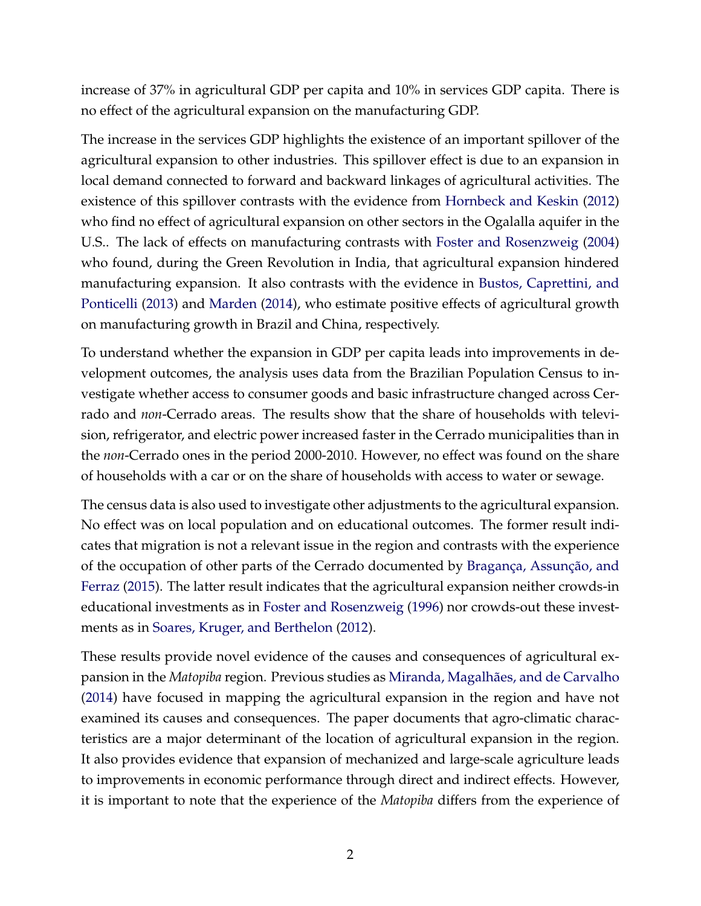increase of 37% in agricultural GDP per capita and 10% in services GDP capita. There is no effect of the agricultural expansion on the manufacturing GDP.

The increase in the services GDP highlights the existence of an important spillover of the agricultural expansion to other industries. This spillover effect is due to an expansion in local demand connected to forward and backward linkages of agricultural activities. The existence of this spillover contrasts with the evidence from Hornbeck and Keskin (2012) who find no effect of agricultural expansion on other sectors in the Ogalalla aquifer in the U.S.. The lack of effects on manufacturing contrasts with Foster and Rosenzweig (2004) who found, during the Green Revolution in India, that agricultural expansion hindered manufacturing expansion. It also contrasts with the evidence in Bustos, Caprettini, and Ponticelli (2013) and Marden (2014), who estimate positive effects of agricultural growth on manufacturing growth in Brazil and China, respectively.

To understand whether the expansion in GDP per capita leads into improvements in development outcomes, the analysis uses data from the Brazilian Population Census to investigate whether access to consumer goods and basic infrastructure changed across Cerrado and *non*-Cerrado areas. The results show that the share of households with television, refrigerator, and electric power increased faster in the Cerrado municipalities than in the *non*-Cerrado ones in the period 2000-2010. However, no effect was found on the share of households with a car or on the share of households with access to water or sewage.

The census data is also used to investigate other adjustments to the agricultural expansion. No effect was on local population and on educational outcomes. The former result indicates that migration is not a relevant issue in the region and contrasts with the experience of the occupation of other parts of the Cerrado documented by Bragança, Assunção, and Ferraz (2015). The latter result indicates that the agricultural expansion neither crowds-in educational investments as in Foster and Rosenzweig (1996) nor crowds-out these investments as in Soares, Kruger, and Berthelon (2012).

These results provide novel evidence of the causes and consequences of agricultural expansion in the *Matopiba* region. Previous studies as Miranda, Magalhães, and de Carvalho (2014) have focused in mapping the agricultural expansion in the region and have not examined its causes and consequences. The paper documents that agro-climatic characteristics are a major determinant of the location of agricultural expansion in the region. It also provides evidence that expansion of mechanized and large-scale agriculture leads to improvements in economic performance through direct and indirect effects. However, it is important to note that the experience of the *Matopiba* differs from the experience of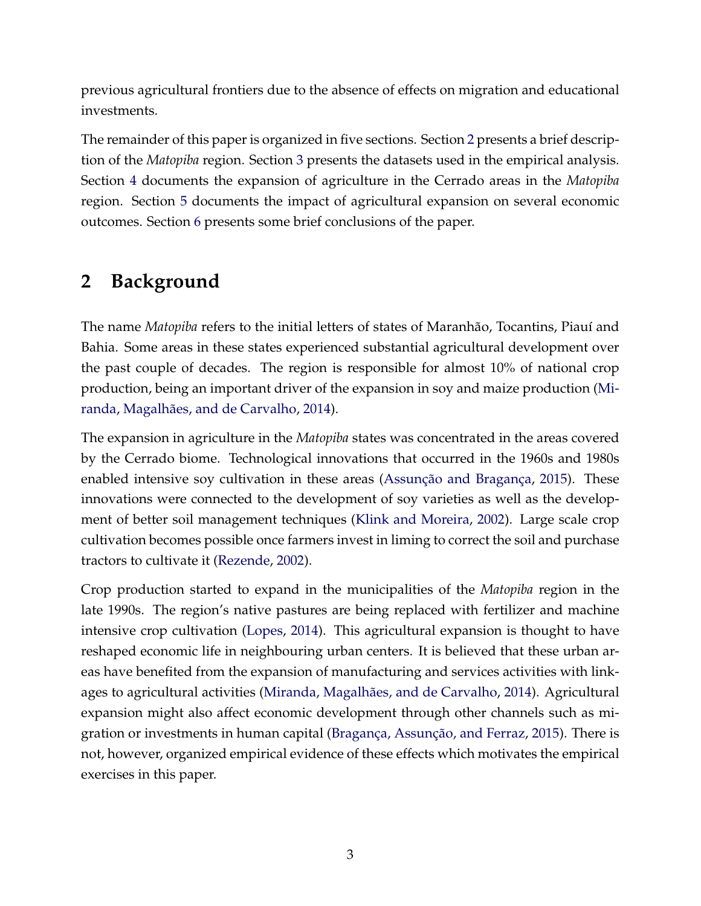previous agricultural frontiers due to the absence of effects on migration and educational investments.

The remainder of this paper is organized in five sections. Section 2 presents a brief description of the *Matopiba* region. Section 3 presents the datasets used in the empirical analysis. Section 4 documents the expansion of agriculture in the Cerrado areas in the *Matopiba* region. Section 5 documents the impact of agricultural expansion on several economic outcomes. Section 6 presents some brief conclusions of the paper.

# **2 Background**

The name *Matopiba* refers to the initial letters of states of Maranhão, Tocantins, Piauí and Bahia. Some areas in these states experienced substantial agricultural development over the past couple of decades. The region is responsible for almost 10% of national crop production, being an important driver of the expansion in soy and maize production (Miranda, Magalhães, and de Carvalho, 2014).

The expansion in agriculture in the *Matopiba* states was concentrated in the areas covered by the Cerrado biome. Technological innovations that occurred in the 1960s and 1980s enabled intensive soy cultivation in these areas (Assunção and Bragança, 2015). These innovations were connected to the development of soy varieties as well as the development of better soil management techniques (Klink and Moreira, 2002). Large scale crop cultivation becomes possible once farmers invest in liming to correct the soil and purchase tractors to cultivate it (Rezende, 2002).

Crop production started to expand in the municipalities of the *Matopiba* region in the late 1990s. The region's native pastures are being replaced with fertilizer and machine intensive crop cultivation (Lopes, 2014). This agricultural expansion is thought to have reshaped economic life in neighbouring urban centers. It is believed that these urban areas have benefited from the expansion of manufacturing and services activities with linkages to agricultural activities (Miranda, Magalhães, and de Carvalho, 2014). Agricultural expansion might also affect economic development through other channels such as migration or investments in human capital (Bragança, Assunção, and Ferraz, 2015). There is not, however, organized empirical evidence of these effects which motivates the empirical exercises in this paper.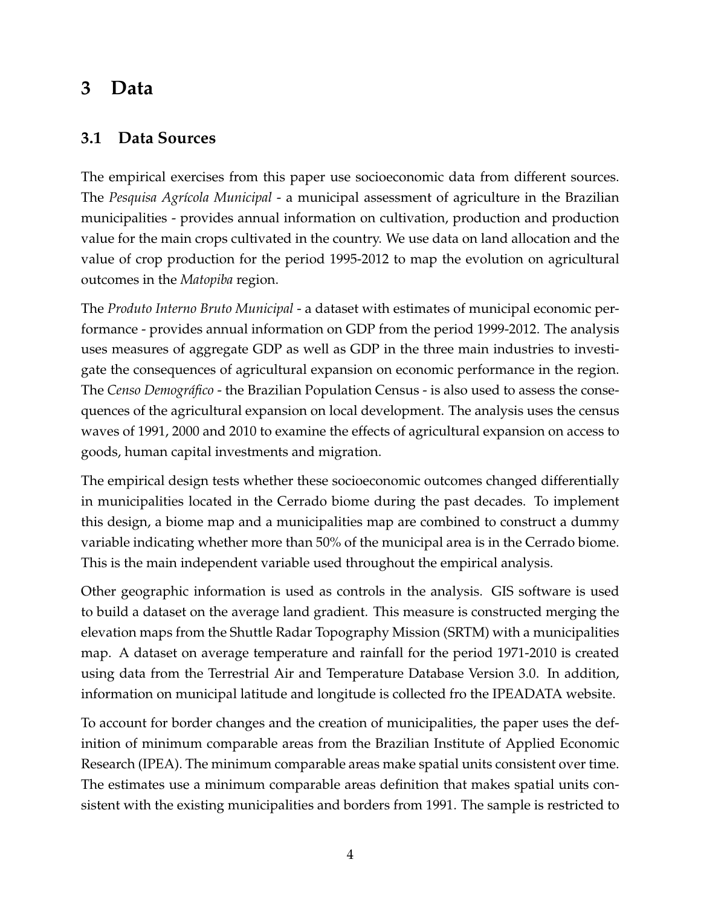## **3 Data**

### **3.1 Data Sources**

The empirical exercises from this paper use socioeconomic data from different sources. The *Pesquisa Agrícola Municipal* - a municipal assessment of agriculture in the Brazilian municipalities - provides annual information on cultivation, production and production value for the main crops cultivated in the country. We use data on land allocation and the value of crop production for the period 1995-2012 to map the evolution on agricultural outcomes in the *Matopiba* region.

The *Produto Interno Bruto Municipal* - a dataset with estimates of municipal economic performance - provides annual information on GDP from the period 1999-2012. The analysis uses measures of aggregate GDP as well as GDP in the three main industries to investigate the consequences of agricultural expansion on economic performance in the region. The *Censo Demográfico* - the Brazilian Population Census - is also used to assess the consequences of the agricultural expansion on local development. The analysis uses the census waves of 1991, 2000 and 2010 to examine the effects of agricultural expansion on access to goods, human capital investments and migration.

The empirical design tests whether these socioeconomic outcomes changed differentially in municipalities located in the Cerrado biome during the past decades. To implement this design, a biome map and a municipalities map are combined to construct a dummy variable indicating whether more than 50% of the municipal area is in the Cerrado biome. This is the main independent variable used throughout the empirical analysis.

Other geographic information is used as controls in the analysis. GIS software is used to build a dataset on the average land gradient. This measure is constructed merging the elevation maps from the Shuttle Radar Topography Mission (SRTM) with a municipalities map. A dataset on average temperature and rainfall for the period 1971-2010 is created using data from the Terrestrial Air and Temperature Database Version 3.0. In addition, information on municipal latitude and longitude is collected fro the IPEADATA website.

To account for border changes and the creation of municipalities, the paper uses the definition of minimum comparable areas from the Brazilian Institute of Applied Economic Research (IPEA). The minimum comparable areas make spatial units consistent over time. The estimates use a minimum comparable areas definition that makes spatial units consistent with the existing municipalities and borders from 1991. The sample is restricted to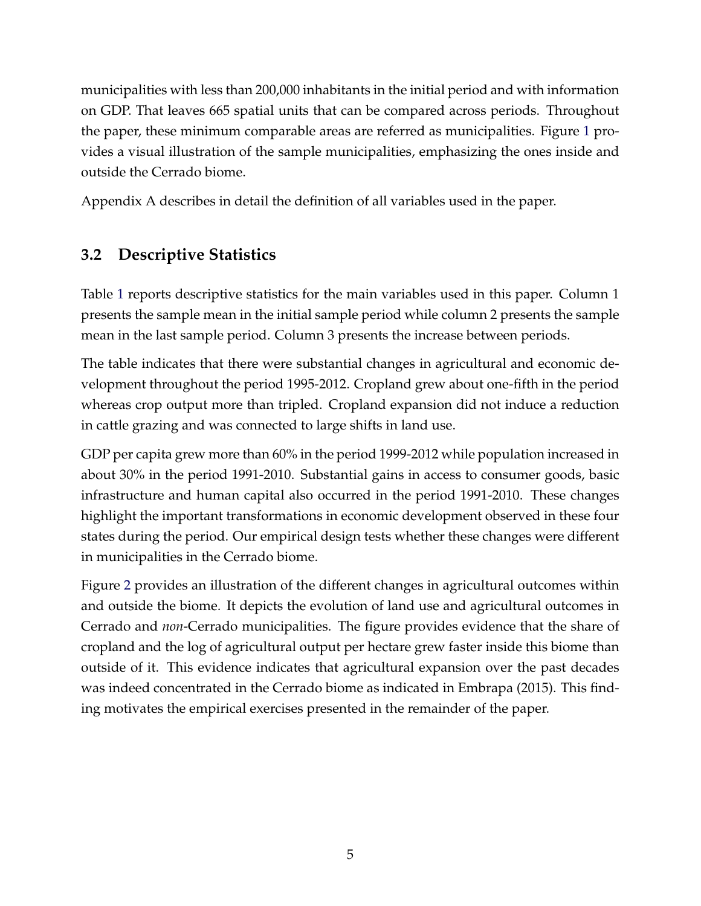municipalities with less than 200,000 inhabitants in the initial period and with information on GDP. That leaves 665 spatial units that can be compared across periods. Throughout the paper, these minimum comparable areas are referred as municipalities. Figure 1 provides a visual illustration of the sample municipalities, emphasizing the ones inside and outside the Cerrado biome.

Appendix A describes in detail the definition of all variables used in the paper.

### **3.2 Descriptive Statistics**

Table 1 reports descriptive statistics for the main variables used in this paper. Column 1 presents the sample mean in the initial sample period while column 2 presents the sample mean in the last sample period. Column 3 presents the increase between periods.

The table indicates that there were substantial changes in agricultural and economic development throughout the period 1995-2012. Cropland grew about one-fifth in the period whereas crop output more than tripled. Cropland expansion did not induce a reduction in cattle grazing and was connected to large shifts in land use.

GDP per capita grew more than 60% in the period 1999-2012 while population increased in about 30% in the period 1991-2010. Substantial gains in access to consumer goods, basic infrastructure and human capital also occurred in the period 1991-2010. These changes highlight the important transformations in economic development observed in these four states during the period. Our empirical design tests whether these changes were different in municipalities in the Cerrado biome.

Figure 2 provides an illustration of the different changes in agricultural outcomes within and outside the biome. It depicts the evolution of land use and agricultural outcomes in Cerrado and *non*-Cerrado municipalities. The figure provides evidence that the share of cropland and the log of agricultural output per hectare grew faster inside this biome than outside of it. This evidence indicates that agricultural expansion over the past decades was indeed concentrated in the Cerrado biome as indicated in Embrapa (2015). This finding motivates the empirical exercises presented in the remainder of the paper.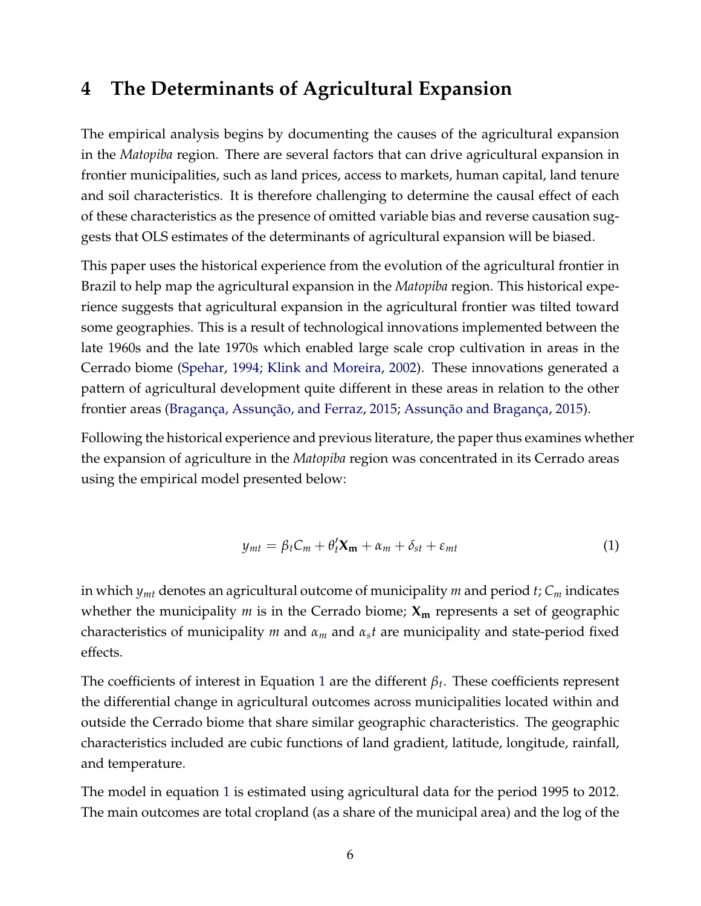### **4 The Determinants of Agricultural Expansion**

The empirical analysis begins by documenting the causes of the agricultural expansion in the *Matopiba* region. There are several factors that can drive agricultural expansion in frontier municipalities, such as land prices, access to markets, human capital, land tenure and soil characteristics. It is therefore challenging to determine the causal effect of each of these characteristics as the presence of omitted variable bias and reverse causation suggests that OLS estimates of the determinants of agricultural expansion will be biased.

This paper uses the historical experience from the evolution of the agricultural frontier in Brazil to help map the agricultural expansion in the *Matopiba* region. This historical experience suggests that agricultural expansion in the agricultural frontier was tilted toward some geographies. This is a result of technological innovations implemented between the late 1960s and the late 1970s which enabled large scale crop cultivation in areas in the Cerrado biome (Spehar, 1994; Klink and Moreira, 2002). These innovations generated a pattern of agricultural development quite different in these areas in relation to the other frontier areas (Bragança, Assunção, and Ferraz, 2015; Assunção and Bragança, 2015).

Following the historical experience and previous literature, the paper thus examines whether the expansion of agriculture in the *Matopiba* region was concentrated in its Cerrado areas using the empirical model presented below:

$$
y_{mt} = \beta_t C_m + \theta'_t \mathbf{X_m} + \alpha_m + \delta_{st} + \varepsilon_{mt}
$$
 (1)

in which *ymt* denotes an agricultural outcome of municipality *m* and period *t*; *C<sup>m</sup>* indicates whether the municipality *m* is in the Cerrado biome; **X<sup>m</sup>** represents a set of geographic characteristics of municipality *m* and *α<sup>m</sup>* and *αst* are municipality and state-period fixed effects.

The coefficients of interest in Equation 1 are the different *β<sup>t</sup>* . These coefficients represent the differential change in agricultural outcomes across municipalities located within and outside the Cerrado biome that share similar geographic characteristics. The geographic characteristics included are cubic functions of land gradient, latitude, longitude, rainfall, and temperature.

The model in equation 1 is estimated using agricultural data for the period 1995 to 2012. The main outcomes are total cropland (as a share of the municipal area) and the log of the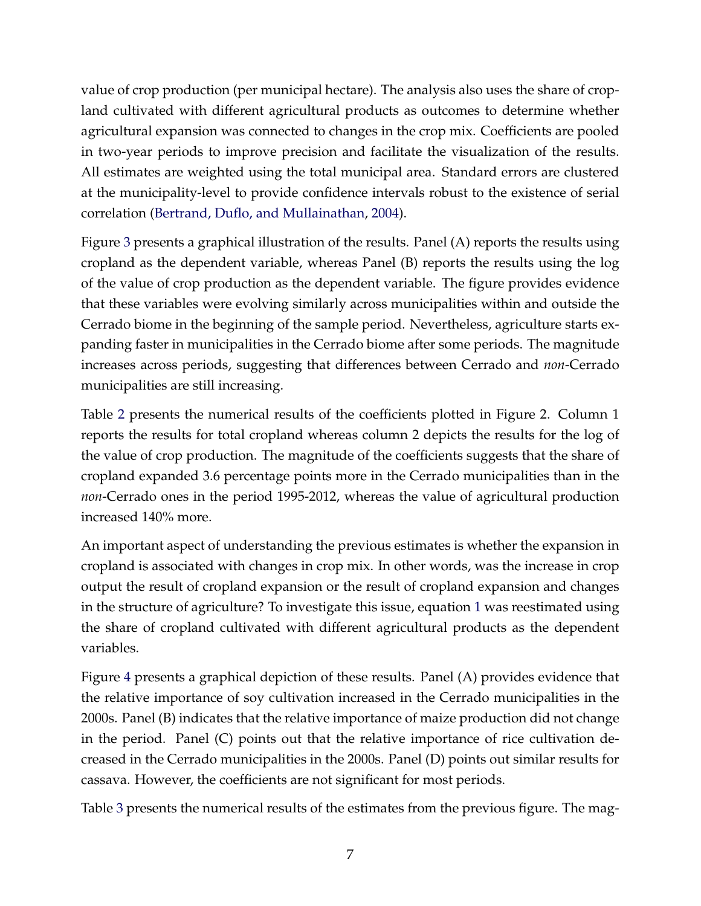value of crop production (per municipal hectare). The analysis also uses the share of cropland cultivated with different agricultural products as outcomes to determine whether agricultural expansion was connected to changes in the crop mix. Coefficients are pooled in two-year periods to improve precision and facilitate the visualization of the results. All estimates are weighted using the total municipal area. Standard errors are clustered at the municipality-level to provide confidence intervals robust to the existence of serial correlation (Bertrand, Duflo, and Mullainathan, 2004).

Figure 3 presents a graphical illustration of the results. Panel (A) reports the results using cropland as the dependent variable, whereas Panel (B) reports the results using the log of the value of crop production as the dependent variable. The figure provides evidence that these variables were evolving similarly across municipalities within and outside the Cerrado biome in the beginning of the sample period. Nevertheless, agriculture starts expanding faster in municipalities in the Cerrado biome after some periods. The magnitude increases across periods, suggesting that differences between Cerrado and *non*-Cerrado municipalities are still increasing.

Table 2 presents the numerical results of the coefficients plotted in Figure 2. Column 1 reports the results for total cropland whereas column 2 depicts the results for the log of the value of crop production. The magnitude of the coefficients suggests that the share of cropland expanded 3.6 percentage points more in the Cerrado municipalities than in the *non*-Cerrado ones in the period 1995-2012, whereas the value of agricultural production increased 140% more.

An important aspect of understanding the previous estimates is whether the expansion in cropland is associated with changes in crop mix. In other words, was the increase in crop output the result of cropland expansion or the result of cropland expansion and changes in the structure of agriculture? To investigate this issue, equation 1 was reestimated using the share of cropland cultivated with different agricultural products as the dependent variables.

Figure 4 presents a graphical depiction of these results. Panel (A) provides evidence that the relative importance of soy cultivation increased in the Cerrado municipalities in the 2000s. Panel (B) indicates that the relative importance of maize production did not change in the period. Panel (C) points out that the relative importance of rice cultivation decreased in the Cerrado municipalities in the 2000s. Panel (D) points out similar results for cassava. However, the coefficients are not significant for most periods.

Table 3 presents the numerical results of the estimates from the previous figure. The mag-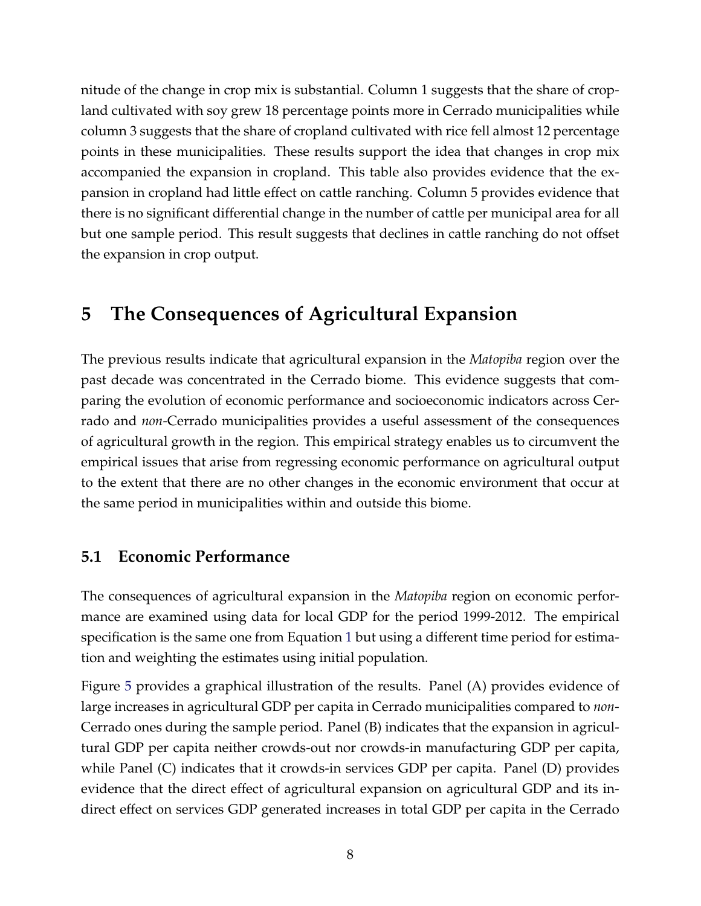nitude of the change in crop mix is substantial. Column 1 suggests that the share of cropland cultivated with soy grew 18 percentage points more in Cerrado municipalities while column 3 suggests that the share of cropland cultivated with rice fell almost 12 percentage points in these municipalities. These results support the idea that changes in crop mix accompanied the expansion in cropland. This table also provides evidence that the expansion in cropland had little effect on cattle ranching. Column 5 provides evidence that there is no significant differential change in the number of cattle per municipal area for all but one sample period. This result suggests that declines in cattle ranching do not offset the expansion in crop output.

# **5 The Consequences of Agricultural Expansion**

The previous results indicate that agricultural expansion in the *Matopiba* region over the past decade was concentrated in the Cerrado biome. This evidence suggests that comparing the evolution of economic performance and socioeconomic indicators across Cerrado and *non*-Cerrado municipalities provides a useful assessment of the consequences of agricultural growth in the region. This empirical strategy enables us to circumvent the empirical issues that arise from regressing economic performance on agricultural output to the extent that there are no other changes in the economic environment that occur at the same period in municipalities within and outside this biome.

### **5.1 Economic Performance**

The consequences of agricultural expansion in the *Matopiba* region on economic performance are examined using data for local GDP for the period 1999-2012. The empirical specification is the same one from Equation 1 but using a different time period for estimation and weighting the estimates using initial population.

Figure 5 provides a graphical illustration of the results. Panel (A) provides evidence of large increases in agricultural GDP per capita in Cerrado municipalities compared to *non*-Cerrado ones during the sample period. Panel (B) indicates that the expansion in agricultural GDP per capita neither crowds-out nor crowds-in manufacturing GDP per capita, while Panel (C) indicates that it crowds-in services GDP per capita. Panel (D) provides evidence that the direct effect of agricultural expansion on agricultural GDP and its indirect effect on services GDP generated increases in total GDP per capita in the Cerrado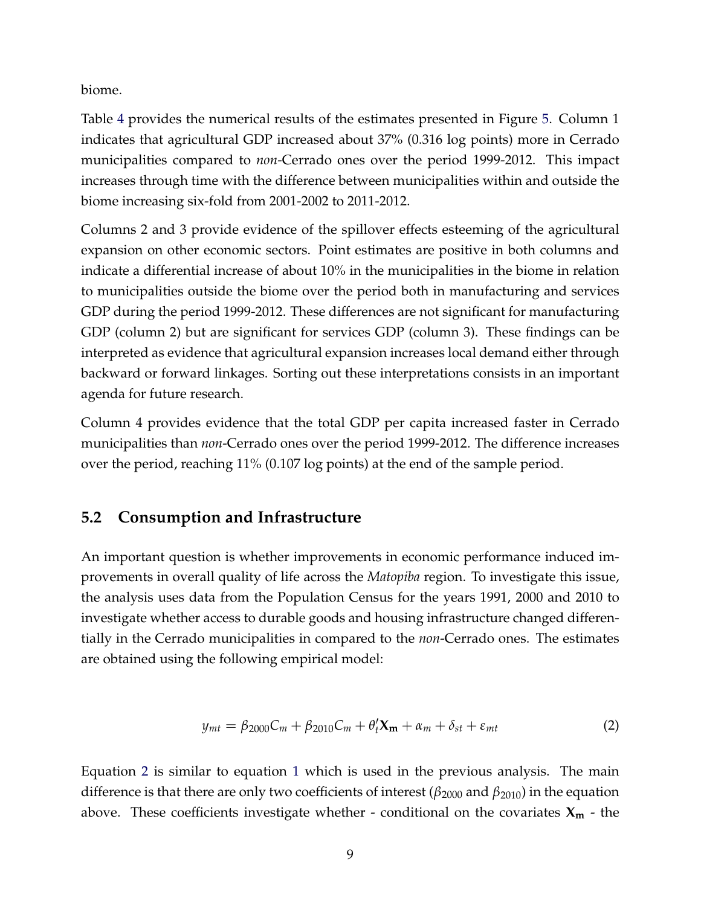biome.

Table 4 provides the numerical results of the estimates presented in Figure 5. Column 1 indicates that agricultural GDP increased about 37% (0.316 log points) more in Cerrado municipalities compared to *non*-Cerrado ones over the period 1999-2012. This impact increases through time with the difference between municipalities within and outside the biome increasing six-fold from 2001-2002 to 2011-2012.

Columns 2 and 3 provide evidence of the spillover effects esteeming of the agricultural expansion on other economic sectors. Point estimates are positive in both columns and indicate a differential increase of about 10% in the municipalities in the biome in relation to municipalities outside the biome over the period both in manufacturing and services GDP during the period 1999-2012. These differences are not significant for manufacturing GDP (column 2) but are significant for services GDP (column 3). These findings can be interpreted as evidence that agricultural expansion increases local demand either through backward or forward linkages. Sorting out these interpretations consists in an important agenda for future research.

Column 4 provides evidence that the total GDP per capita increased faster in Cerrado municipalities than *non*-Cerrado ones over the period 1999-2012. The difference increases over the period, reaching 11% (0.107 log points) at the end of the sample period.

### **5.2 Consumption and Infrastructure**

An important question is whether improvements in economic performance induced improvements in overall quality of life across the *Matopiba* region. To investigate this issue, the analysis uses data from the Population Census for the years 1991, 2000 and 2010 to investigate whether access to durable goods and housing infrastructure changed differentially in the Cerrado municipalities in compared to the *non*-Cerrado ones. The estimates are obtained using the following empirical model:

$$
y_{mt} = \beta_{2000} C_m + \beta_{2010} C_m + \theta'_t \mathbf{X_m} + \alpha_m + \delta_{st} + \varepsilon_{mt}
$$
 (2)

Equation 2 is similar to equation 1 which is used in the previous analysis. The main difference is that there are only two coefficients of interest (*β*<sup>2000</sup> and *β*2010) in the equation above. These coefficients investigate whether - conditional on the covariates **X<sup>m</sup>** - the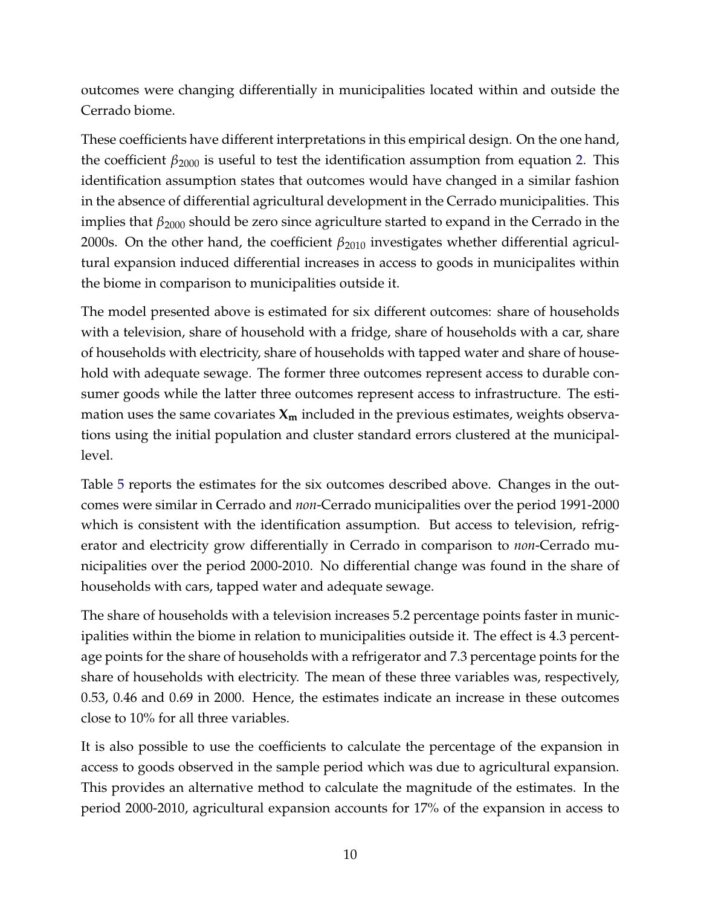outcomes were changing differentially in municipalities located within and outside the Cerrado biome.

These coefficients have different interpretations in this empirical design. On the one hand, the coefficient  $β_{2000}$  is useful to test the identification assumption from equation 2. This identification assumption states that outcomes would have changed in a similar fashion in the absence of differential agricultural development in the Cerrado municipalities. This implies that *β*<sup>2000</sup> should be zero since agriculture started to expand in the Cerrado in the 2000s. On the other hand, the coefficient *β*<sup>2010</sup> investigates whether differential agricultural expansion induced differential increases in access to goods in municipalites within the biome in comparison to municipalities outside it.

The model presented above is estimated for six different outcomes: share of households with a television, share of household with a fridge, share of households with a car, share of households with electricity, share of households with tapped water and share of household with adequate sewage. The former three outcomes represent access to durable consumer goods while the latter three outcomes represent access to infrastructure. The estimation uses the same covariates  $X_m$  included in the previous estimates, weights observations using the initial population and cluster standard errors clustered at the municipallevel.

Table 5 reports the estimates for the six outcomes described above. Changes in the outcomes were similar in Cerrado and *non*-Cerrado municipalities over the period 1991-2000 which is consistent with the identification assumption. But access to television, refrigerator and electricity grow differentially in Cerrado in comparison to *non*-Cerrado municipalities over the period 2000-2010. No differential change was found in the share of households with cars, tapped water and adequate sewage.

The share of households with a television increases 5.2 percentage points faster in municipalities within the biome in relation to municipalities outside it. The effect is 4.3 percentage points for the share of households with a refrigerator and 7.3 percentage points for the share of households with electricity. The mean of these three variables was, respectively, 0.53, 0.46 and 0.69 in 2000. Hence, the estimates indicate an increase in these outcomes close to 10% for all three variables.

It is also possible to use the coefficients to calculate the percentage of the expansion in access to goods observed in the sample period which was due to agricultural expansion. This provides an alternative method to calculate the magnitude of the estimates. In the period 2000-2010, agricultural expansion accounts for 17% of the expansion in access to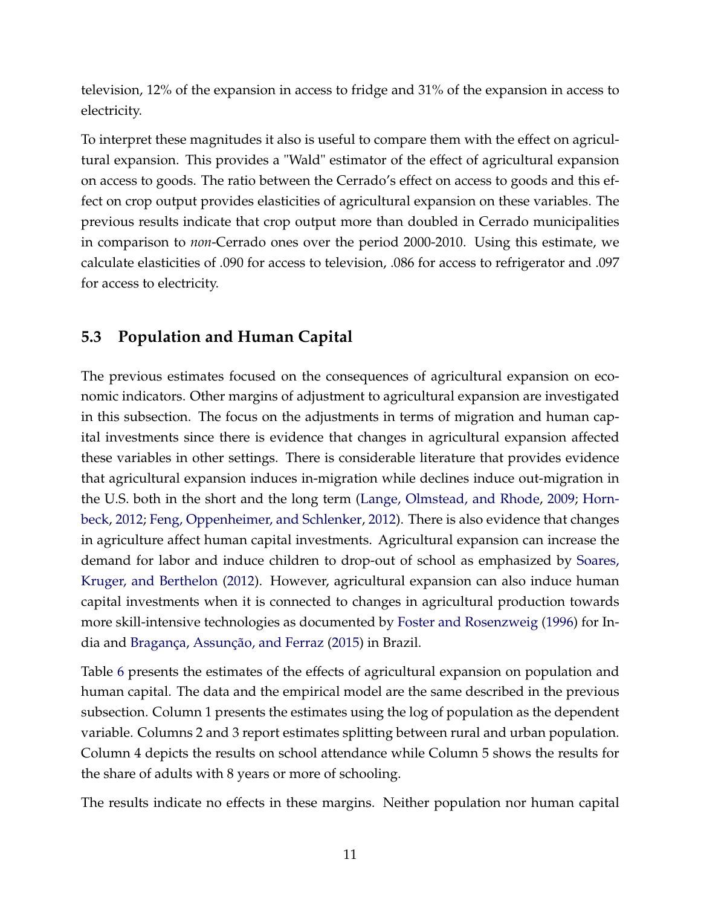television, 12% of the expansion in access to fridge and 31% of the expansion in access to electricity.

To interpret these magnitudes it also is useful to compare them with the effect on agricultural expansion. This provides a "Wald" estimator of the effect of agricultural expansion on access to goods. The ratio between the Cerrado's effect on access to goods and this effect on crop output provides elasticities of agricultural expansion on these variables. The previous results indicate that crop output more than doubled in Cerrado municipalities in comparison to *non*-Cerrado ones over the period 2000-2010. Using this estimate, we calculate elasticities of .090 for access to television, .086 for access to refrigerator and .097 for access to electricity.

### **5.3 Population and Human Capital**

The previous estimates focused on the consequences of agricultural expansion on economic indicators. Other margins of adjustment to agricultural expansion are investigated in this subsection. The focus on the adjustments in terms of migration and human capital investments since there is evidence that changes in agricultural expansion affected these variables in other settings. There is considerable literature that provides evidence that agricultural expansion induces in-migration while declines induce out-migration in the U.S. both in the short and the long term (Lange, Olmstead, and Rhode, 2009; Hornbeck, 2012; Feng, Oppenheimer, and Schlenker, 2012). There is also evidence that changes in agriculture affect human capital investments. Agricultural expansion can increase the demand for labor and induce children to drop-out of school as emphasized by Soares, Kruger, and Berthelon (2012). However, agricultural expansion can also induce human capital investments when it is connected to changes in agricultural production towards more skill-intensive technologies as documented by Foster and Rosenzweig (1996) for India and Bragança, Assunção, and Ferraz (2015) in Brazil.

Table 6 presents the estimates of the effects of agricultural expansion on population and human capital. The data and the empirical model are the same described in the previous subsection. Column 1 presents the estimates using the log of population as the dependent variable. Columns 2 and 3 report estimates splitting between rural and urban population. Column 4 depicts the results on school attendance while Column 5 shows the results for the share of adults with 8 years or more of schooling.

The results indicate no effects in these margins. Neither population nor human capital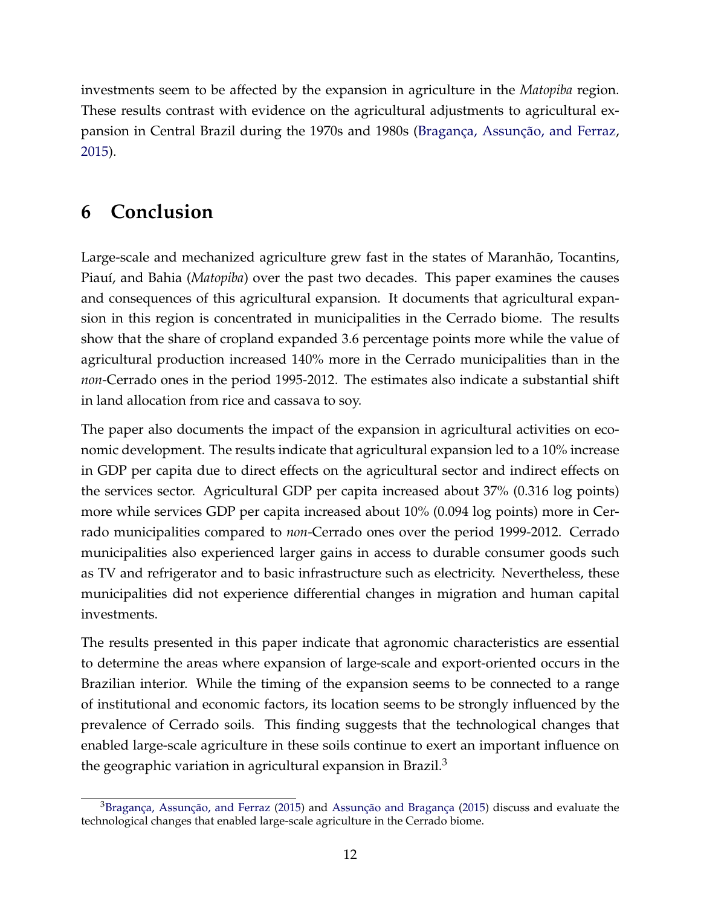investments seem to be affected by the expansion in agriculture in the *Matopiba* region. These results contrast with evidence on the agricultural adjustments to agricultural expansion in Central Brazil during the 1970s and 1980s (Bragança, Assunção, and Ferraz, 2015).

# **6 Conclusion**

Large-scale and mechanized agriculture grew fast in the states of Maranhão, Tocantins, Piauí, and Bahia (*Matopiba*) over the past two decades. This paper examines the causes and consequences of this agricultural expansion. It documents that agricultural expansion in this region is concentrated in municipalities in the Cerrado biome. The results show that the share of cropland expanded 3.6 percentage points more while the value of agricultural production increased 140% more in the Cerrado municipalities than in the *non*-Cerrado ones in the period 1995-2012. The estimates also indicate a substantial shift in land allocation from rice and cassava to soy.

The paper also documents the impact of the expansion in agricultural activities on economic development. The results indicate that agricultural expansion led to a 10% increase in GDP per capita due to direct effects on the agricultural sector and indirect effects on the services sector. Agricultural GDP per capita increased about 37% (0.316 log points) more while services GDP per capita increased about 10% (0.094 log points) more in Cerrado municipalities compared to *non*-Cerrado ones over the period 1999-2012. Cerrado municipalities also experienced larger gains in access to durable consumer goods such as TV and refrigerator and to basic infrastructure such as electricity. Nevertheless, these municipalities did not experience differential changes in migration and human capital investments.

The results presented in this paper indicate that agronomic characteristics are essential to determine the areas where expansion of large-scale and export-oriented occurs in the Brazilian interior. While the timing of the expansion seems to be connected to a range of institutional and economic factors, its location seems to be strongly influenced by the prevalence of Cerrado soils. This finding suggests that the technological changes that enabled large-scale agriculture in these soils continue to exert an important influence on the geographic variation in agricultural expansion in Brazil. $3$ 

<sup>3</sup>Bragança, Assunção, and Ferraz (2015) and Assunção and Bragança (2015) discuss and evaluate the technological changes that enabled large-scale agriculture in the Cerrado biome.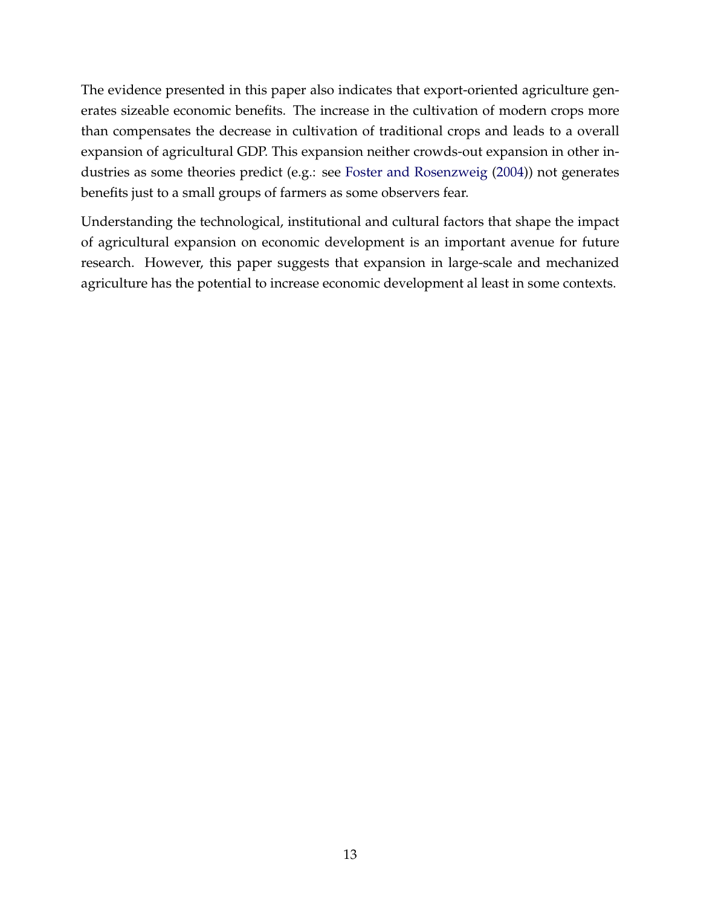The evidence presented in this paper also indicates that export-oriented agriculture generates sizeable economic benefits. The increase in the cultivation of modern crops more than compensates the decrease in cultivation of traditional crops and leads to a overall expansion of agricultural GDP. This expansion neither crowds-out expansion in other industries as some theories predict (e.g.: see Foster and Rosenzweig (2004)) not generates benefits just to a small groups of farmers as some observers fear.

Understanding the technological, institutional and cultural factors that shape the impact of agricultural expansion on economic development is an important avenue for future research. However, this paper suggests that expansion in large-scale and mechanized agriculture has the potential to increase economic development al least in some contexts.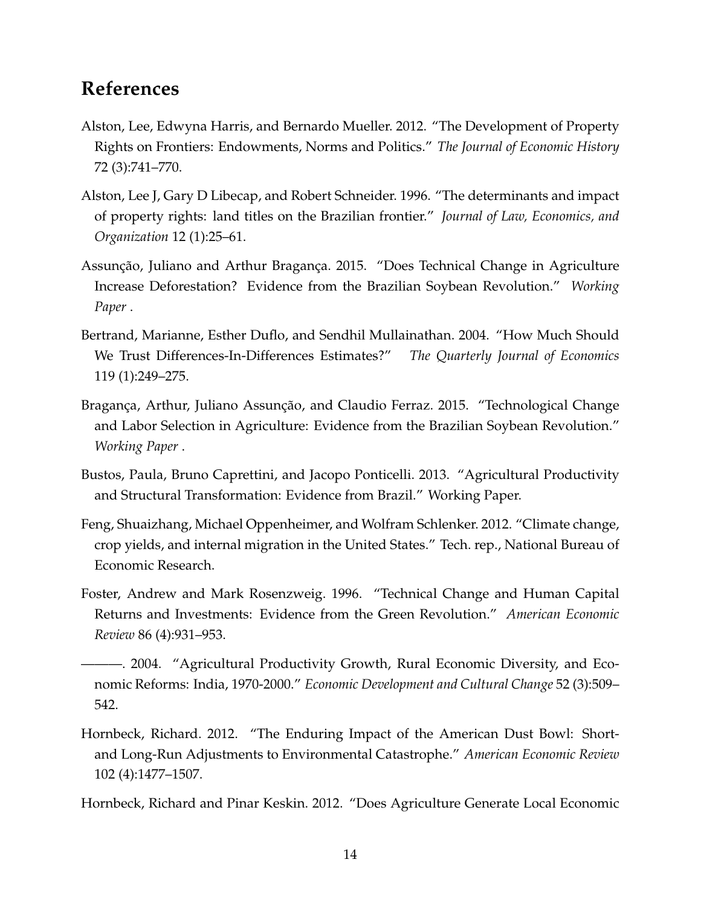### **References**

- Alston, Lee, Edwyna Harris, and Bernardo Mueller. 2012. "The Development of Property Rights on Frontiers: Endowments, Norms and Politics." *The Journal of Economic History* 72 (3):741–770.
- Alston, Lee J, Gary D Libecap, and Robert Schneider. 1996. "The determinants and impact of property rights: land titles on the Brazilian frontier." *Journal of Law, Economics, and Organization* 12 (1):25–61.
- Assunção, Juliano and Arthur Bragança. 2015. "Does Technical Change in Agriculture Increase Deforestation? Evidence from the Brazilian Soybean Revolution." *Working Paper* .
- Bertrand, Marianne, Esther Duflo, and Sendhil Mullainathan. 2004. "How Much Should We Trust Differences-In-Differences Estimates?" *The Quarterly Journal of Economics* 119 (1):249–275.
- Bragança, Arthur, Juliano Assunção, and Claudio Ferraz. 2015. "Technological Change and Labor Selection in Agriculture: Evidence from the Brazilian Soybean Revolution." *Working Paper* .
- Bustos, Paula, Bruno Caprettini, and Jacopo Ponticelli. 2013. "Agricultural Productivity and Structural Transformation: Evidence from Brazil." Working Paper.
- Feng, Shuaizhang, Michael Oppenheimer, and Wolfram Schlenker. 2012. "Climate change, crop yields, and internal migration in the United States." Tech. rep., National Bureau of Economic Research.
- Foster, Andrew and Mark Rosenzweig. 1996. "Technical Change and Human Capital Returns and Investments: Evidence from the Green Revolution." *American Economic Review* 86 (4):931–953.
- ———. 2004. "Agricultural Productivity Growth, Rural Economic Diversity, and Economic Reforms: India, 1970-2000." *Economic Development and Cultural Change* 52 (3):509– 542.
- Hornbeck, Richard. 2012. "The Enduring Impact of the American Dust Bowl: Shortand Long-Run Adjustments to Environmental Catastrophe." *American Economic Review* 102 (4):1477–1507.

Hornbeck, Richard and Pinar Keskin. 2012. "Does Agriculture Generate Local Economic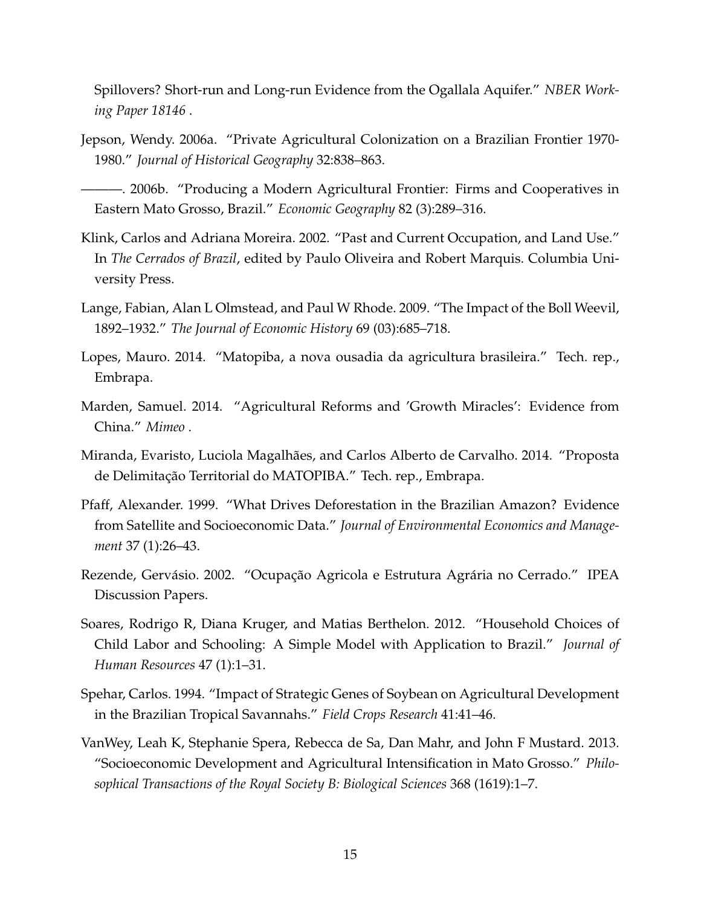Spillovers? Short-run and Long-run Evidence from the Ogallala Aquifer." *NBER Working Paper 18146* .

- Jepson, Wendy. 2006a. "Private Agricultural Colonization on a Brazilian Frontier 1970- 1980." *Journal of Historical Geography* 32:838–863.
- ———. 2006b. "Producing a Modern Agricultural Frontier: Firms and Cooperatives in Eastern Mato Grosso, Brazil." *Economic Geography* 82 (3):289–316.
- Klink, Carlos and Adriana Moreira. 2002. "Past and Current Occupation, and Land Use." In *The Cerrados of Brazil*, edited by Paulo Oliveira and Robert Marquis. Columbia University Press.
- Lange, Fabian, Alan L Olmstead, and Paul W Rhode. 2009. "The Impact of the Boll Weevil, 1892–1932." *The Journal of Economic History* 69 (03):685–718.
- Lopes, Mauro. 2014. "Matopiba, a nova ousadia da agricultura brasileira." Tech. rep., Embrapa.
- Marden, Samuel. 2014. "Agricultural Reforms and 'Growth Miracles': Evidence from China." *Mimeo* .
- Miranda, Evaristo, Luciola Magalhães, and Carlos Alberto de Carvalho. 2014. "Proposta de Delimitação Territorial do MATOPIBA." Tech. rep., Embrapa.
- Pfaff, Alexander. 1999. "What Drives Deforestation in the Brazilian Amazon? Evidence from Satellite and Socioeconomic Data." *Journal of Environmental Economics and Management* 37 (1):26–43.
- Rezende, Gervásio. 2002. "Ocupação Agricola e Estrutura Agrária no Cerrado." IPEA Discussion Papers.
- Soares, Rodrigo R, Diana Kruger, and Matias Berthelon. 2012. "Household Choices of Child Labor and Schooling: A Simple Model with Application to Brazil." *Journal of Human Resources* 47 (1):1–31.
- Spehar, Carlos. 1994. "Impact of Strategic Genes of Soybean on Agricultural Development in the Brazilian Tropical Savannahs." *Field Crops Research* 41:41–46.
- VanWey, Leah K, Stephanie Spera, Rebecca de Sa, Dan Mahr, and John F Mustard. 2013. "Socioeconomic Development and Agricultural Intensification in Mato Grosso." *Philosophical Transactions of the Royal Society B: Biological Sciences* 368 (1619):1–7.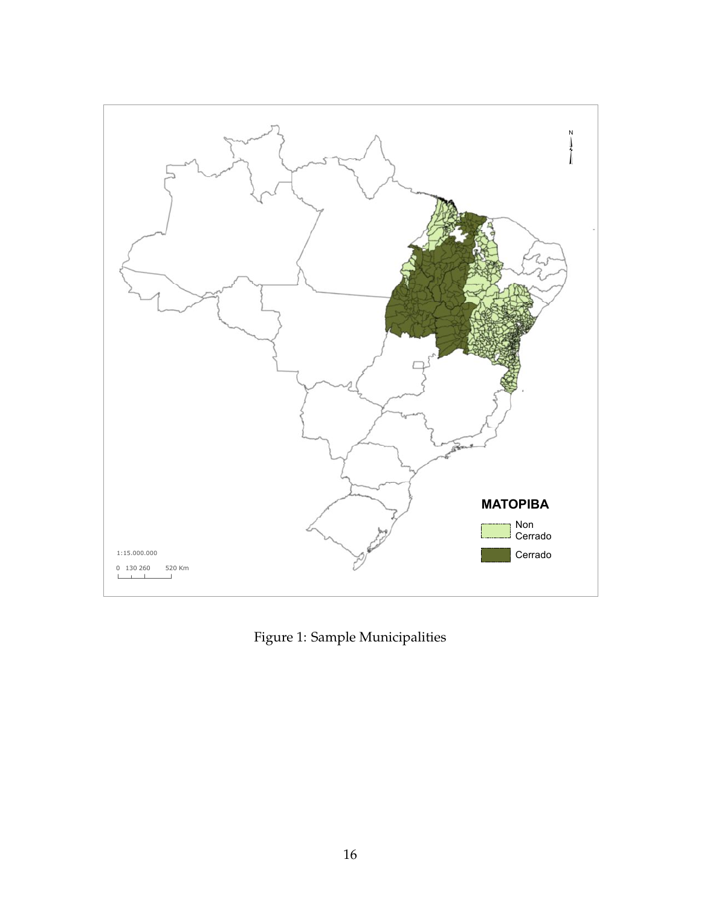

Figure 1: Sample Municipalities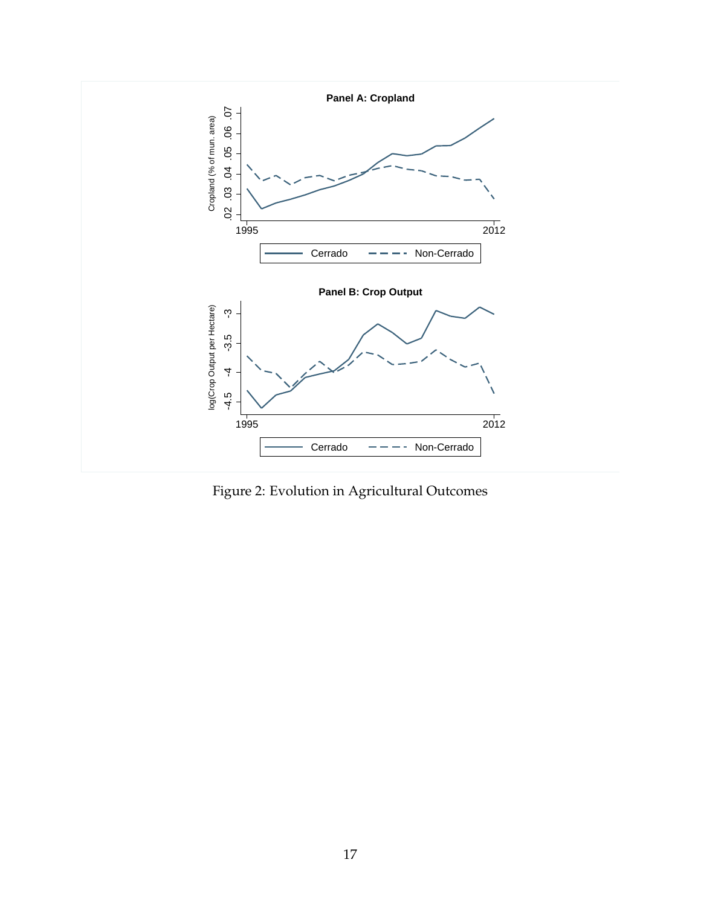

Figure 2: Evolution in Agricultural Outcomes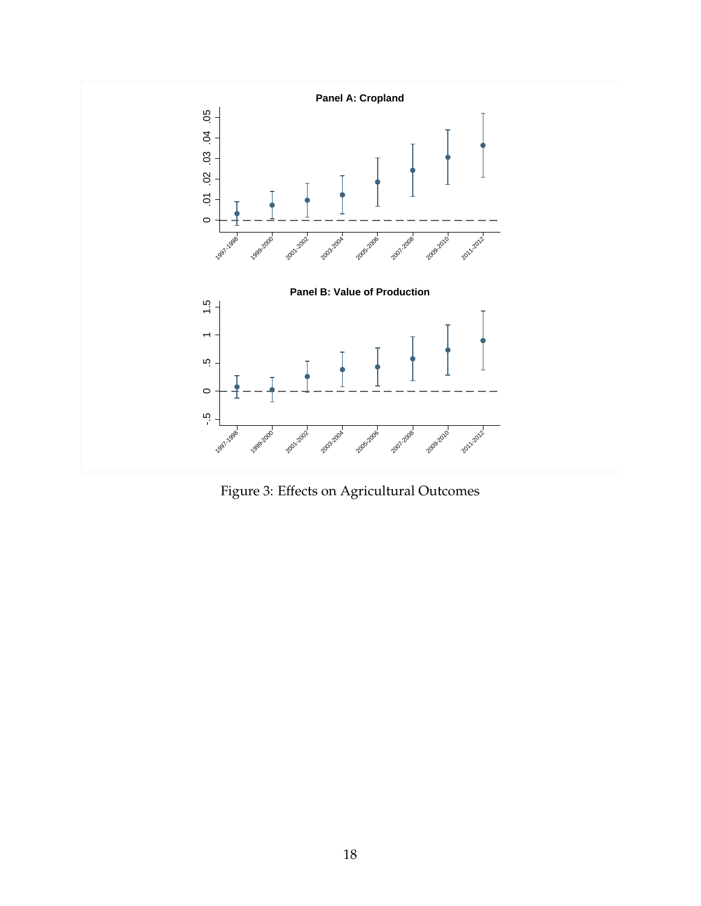

Figure 3: Effects on Agricultural Outcomes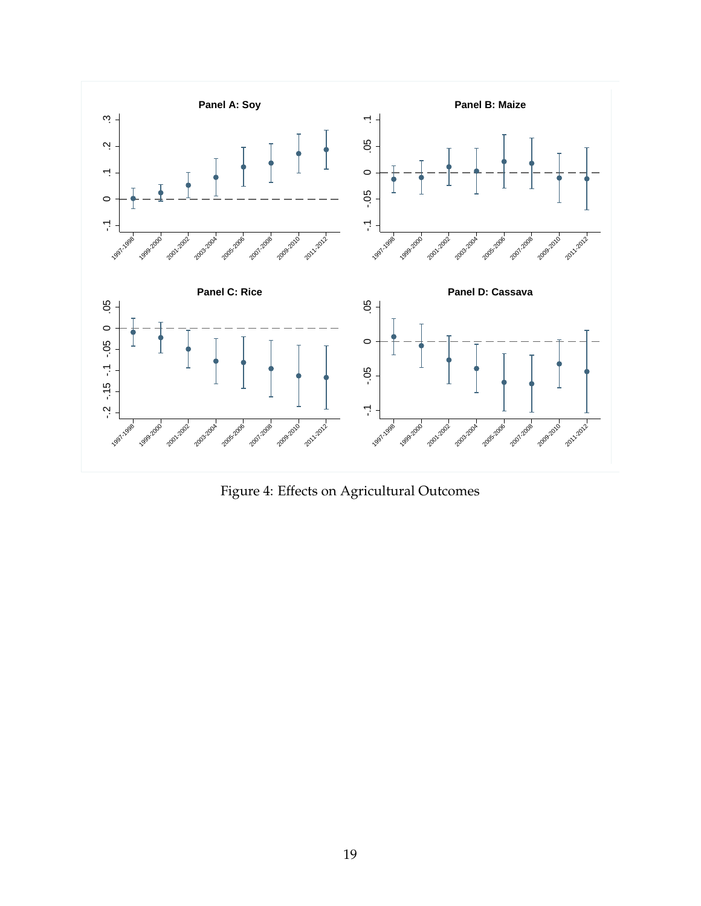

Figure 4: Effects on Agricultural Outcomes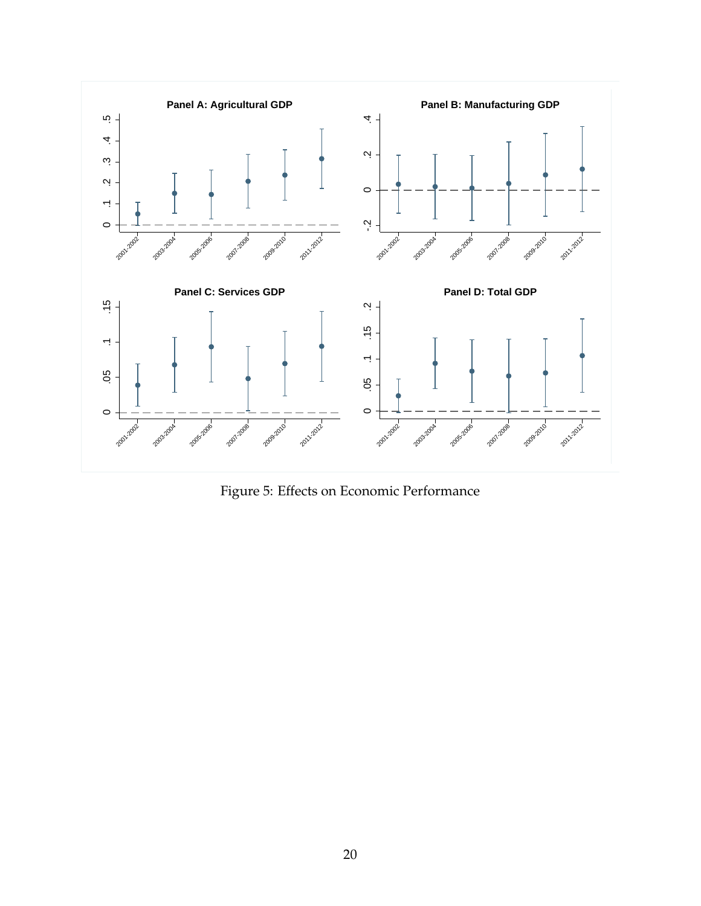

Figure 5: Effects on Economic Performance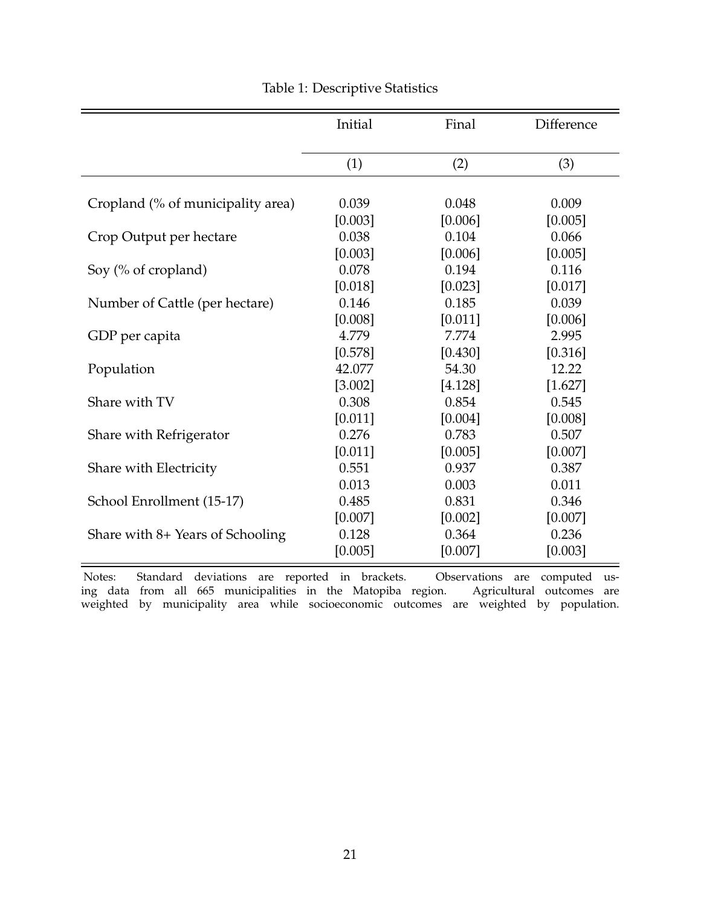|                                   | Initial | Final   | Difference |
|-----------------------------------|---------|---------|------------|
|                                   | (1)     | (2)     | (3)        |
|                                   |         |         |            |
| Cropland (% of municipality area) | 0.039   | 0.048   | 0.009      |
|                                   | [0.003] | [0.006] | [0.005]    |
| Crop Output per hectare           | 0.038   | 0.104   | 0.066      |
|                                   | [0.003] | [0.006] | [0.005]    |
| Soy (% of cropland)               | 0.078   | 0.194   | 0.116      |
|                                   | [0.018] | [0.023] | [0.017]    |
| Number of Cattle (per hectare)    | 0.146   | 0.185   | 0.039      |
|                                   | [0.008] | [0.011] | [0.006]    |
| GDP per capita                    | 4.779   | 7.774   | 2.995      |
|                                   | [0.578] | [0.430] | [0.316]    |
| Population                        | 42.077  | 54.30   | 12.22      |
|                                   | [3.002] | [4.128] | [1.627]    |
| Share with TV                     | 0.308   | 0.854   | 0.545      |
|                                   | [0.011] | [0.004] | [0.008]    |
| Share with Refrigerator           | 0.276   | 0.783   | 0.507      |
|                                   | [0.011] | [0.005] | [0.007]    |
| Share with Electricity            | 0.551   | 0.937   | 0.387      |
|                                   | 0.013   | 0.003   | 0.011      |
| School Enrollment (15-17)         | 0.485   | 0.831   | 0.346      |
|                                   | [0.007] | [0.002] | [0.007]    |
| Share with 8+ Years of Schooling  | 0.128   | 0.364   | 0.236      |
|                                   | [0.005] | [0.007] | [0.003]    |

#### Table 1: Descriptive Statistics

Notes: Standard deviations are reported in brackets. Observations are computed using data from all 665 municipalities in the Matopiba region. Agricultural outcomes are weighted by municipality area while socioeconomic outcomes are weighted by population.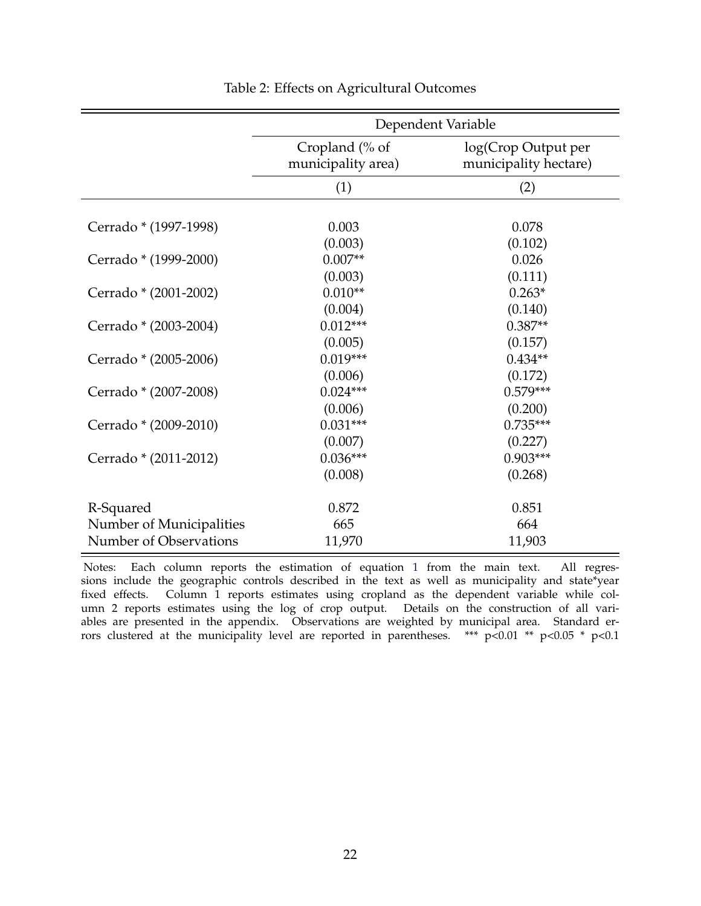|                          | Dependent Variable                   |                                              |  |  |  |
|--------------------------|--------------------------------------|----------------------------------------------|--|--|--|
|                          | Cropland (% of<br>municipality area) | log(Crop Output per<br>municipality hectare) |  |  |  |
|                          | (1)                                  | (2)                                          |  |  |  |
|                          |                                      |                                              |  |  |  |
| Cerrado * (1997-1998)    | 0.003                                | 0.078                                        |  |  |  |
|                          | (0.003)                              | (0.102)                                      |  |  |  |
| Cerrado * (1999-2000)    | $0.007**$                            | 0.026                                        |  |  |  |
|                          | (0.003)                              | (0.111)                                      |  |  |  |
| Cerrado * (2001-2002)    | $0.010**$                            | $0.263*$                                     |  |  |  |
|                          | (0.004)                              | (0.140)                                      |  |  |  |
| Cerrado * (2003-2004)    | $0.012***$                           | $0.387**$                                    |  |  |  |
|                          | (0.005)                              | (0.157)                                      |  |  |  |
| Cerrado * (2005-2006)    | $0.019***$                           | $0.434**$                                    |  |  |  |
|                          | (0.006)                              | (0.172)                                      |  |  |  |
| Cerrado * (2007-2008)    | $0.024***$                           | $0.579***$                                   |  |  |  |
|                          | (0.006)                              | (0.200)                                      |  |  |  |
| Cerrado * (2009-2010)    | $0.031***$                           | $0.735***$                                   |  |  |  |
|                          | (0.007)                              | (0.227)                                      |  |  |  |
| Cerrado * (2011-2012)    | $0.036***$                           | $0.903***$                                   |  |  |  |
|                          | (0.008)                              | (0.268)                                      |  |  |  |
|                          |                                      |                                              |  |  |  |
| R-Squared                | 0.872                                | 0.851                                        |  |  |  |
| Number of Municipalities | 665                                  | 664                                          |  |  |  |
| Number of Observations   | 11,970                               | 11,903                                       |  |  |  |

#### Table 2: Effects on Agricultural Outcomes

Notes: Each column reports the estimation of equation 1 from the main text. All regressions include the geographic controls described in the text as well as municipality and state\*year fixed effects. Column 1 reports estimates using cropland as the dependent variable while column 2 reports estimates using the log of crop output. Details on the construction of all variables are presented in the appendix. Observations are weighted by municipal area. Standard errors clustered at the municipality level are reported in parentheses. \*\*\*  $p<0.01$  \*\*  $p<0.05$  \*  $p<0.1$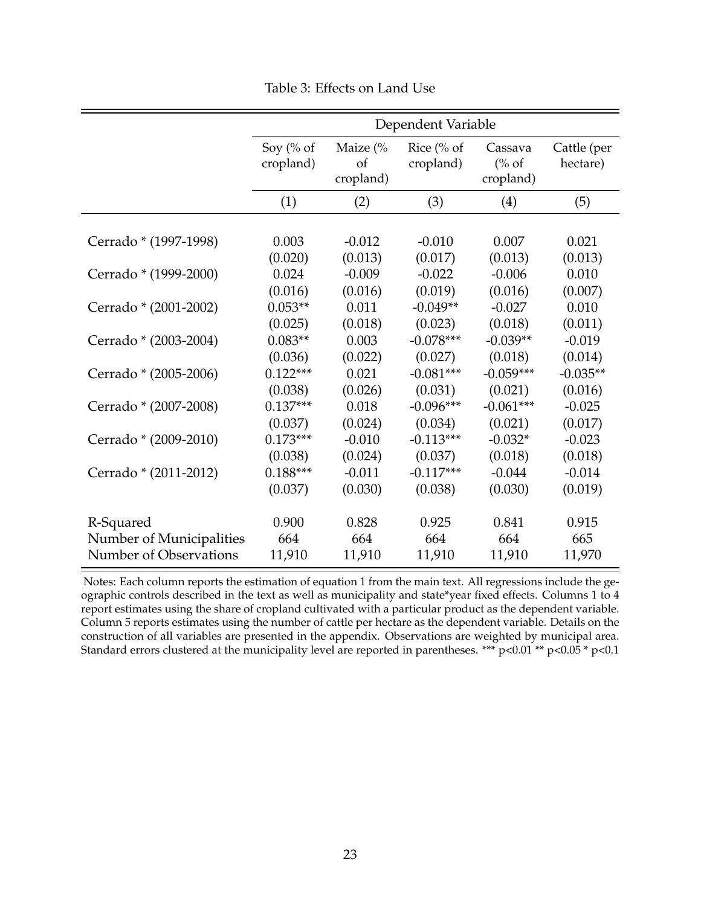|                          | Dependent Variable     |                                        |                         |                                          |                         |  |  |
|--------------------------|------------------------|----------------------------------------|-------------------------|------------------------------------------|-------------------------|--|--|
|                          | Soy (% of<br>cropland) | Maize $\frac{6}{6}$<br>of<br>cropland) | Rice (% of<br>cropland) | Cassava<br>$\frac{6}{6}$ of<br>cropland) | Cattle (per<br>hectare) |  |  |
|                          | (1)                    | (2)                                    | (3)                     | (4)                                      | (5)                     |  |  |
|                          |                        |                                        |                         |                                          |                         |  |  |
| Cerrado * (1997-1998)    | 0.003                  | $-0.012$                               | $-0.010$                | 0.007                                    | 0.021                   |  |  |
|                          | (0.020)                | (0.013)                                | (0.017)                 | (0.013)                                  | (0.013)                 |  |  |
| Cerrado * (1999-2000)    | 0.024                  | $-0.009$                               | $-0.022$                | $-0.006$                                 | 0.010                   |  |  |
|                          | (0.016)                | (0.016)                                | (0.019)                 | (0.016)                                  | (0.007)                 |  |  |
| Cerrado * (2001-2002)    | $0.053**$              | 0.011                                  | $-0.049**$              | $-0.027$                                 | 0.010                   |  |  |
|                          | (0.025)                | (0.018)                                | (0.023)                 | (0.018)                                  | (0.011)                 |  |  |
| Cerrado * (2003-2004)    | $0.083**$              | 0.003                                  | $-0.078***$             | $-0.039**$                               | $-0.019$                |  |  |
|                          | (0.036)                | (0.022)                                | (0.027)                 | (0.018)                                  | (0.014)                 |  |  |
| Cerrado * (2005-2006)    | $0.122***$             | 0.021                                  | $-0.081***$             | $-0.059***$                              | $-0.035**$              |  |  |
|                          | (0.038)                | (0.026)                                | (0.031)                 | (0.021)                                  | (0.016)                 |  |  |
| Cerrado * (2007-2008)    | $0.137***$             | 0.018                                  | $-0.096***$             | $-0.061***$                              | $-0.025$                |  |  |
|                          | (0.037)                | (0.024)                                | (0.034)                 | (0.021)                                  | (0.017)                 |  |  |
| Cerrado * (2009-2010)    | $0.173***$             | $-0.010$                               | $-0.113***$             | $-0.032*$                                | $-0.023$                |  |  |
|                          | (0.038)                | (0.024)                                | (0.037)                 | (0.018)                                  | (0.018)                 |  |  |
| Cerrado * (2011-2012)    | $0.188***$             | $-0.011$                               | $-0.117***$             | $-0.044$                                 | $-0.014$                |  |  |
|                          | (0.037)                | (0.030)                                | (0.038)                 | (0.030)                                  | (0.019)                 |  |  |
| R-Squared                | 0.900                  | 0.828                                  | 0.925                   | 0.841                                    | 0.915                   |  |  |
| Number of Municipalities | 664                    | 664                                    | 664                     | 664                                      | 665                     |  |  |
| Number of Observations   | 11,910                 | 11,910                                 | 11,910                  | 11,910                                   | 11,970                  |  |  |

Table 3: Effects on Land Use

Notes: Each column reports the estimation of equation 1 from the main text. All regressions include the geographic controls described in the text as well as municipality and state\*year fixed effects. Columns 1 to 4 report estimates using the share of cropland cultivated with a particular product as the dependent variable. Column 5 reports estimates using the number of cattle per hectare as the dependent variable. Details on the construction of all variables are presented in the appendix. Observations are weighted by municipal area. Standard errors clustered at the municipality level are reported in parentheses. \*\*\* p<0.01 \*\* p<0.05 \* p<0.1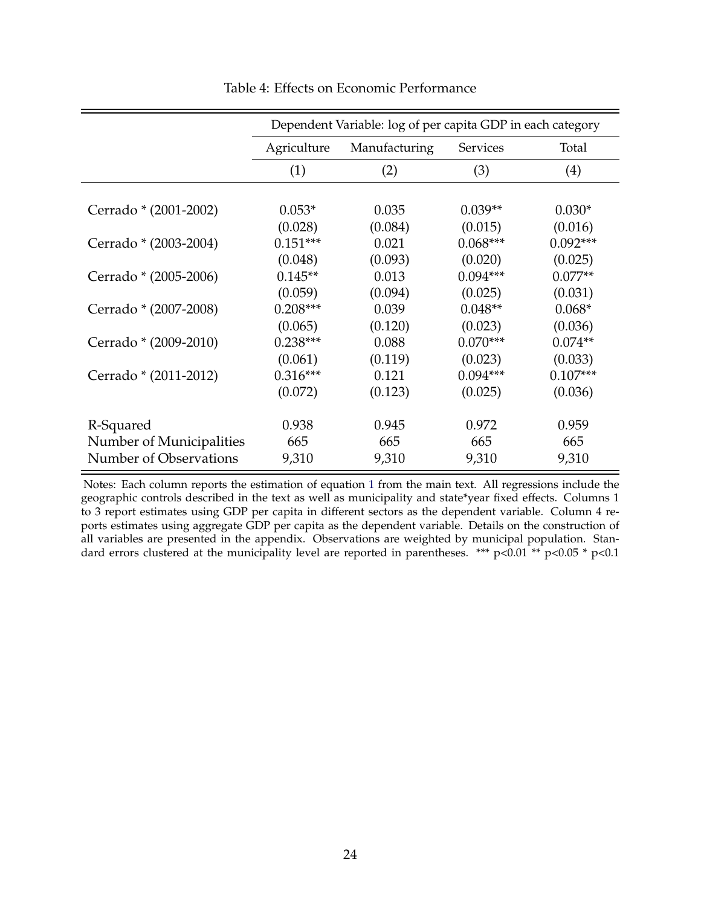|                          | Dependent Variable: log of per capita GDP in each category |         |                 |            |  |  |
|--------------------------|------------------------------------------------------------|---------|-----------------|------------|--|--|
|                          | Agriculture<br>Manufacturing                               |         | <b>Services</b> | Total      |  |  |
|                          | (1)                                                        | (2)     | (3)             | (4)        |  |  |
|                          |                                                            |         |                 |            |  |  |
| Cerrado * (2001-2002)    | $0.053*$                                                   | 0.035   | $0.039**$       | $0.030*$   |  |  |
|                          | (0.028)                                                    | (0.084) | (0.015)         | (0.016)    |  |  |
| Cerrado * (2003-2004)    | $0.151***$                                                 | 0.021   | $0.068***$      | $0.092***$ |  |  |
|                          | (0.048)                                                    | (0.093) | (0.020)         | (0.025)    |  |  |
| Cerrado * (2005-2006)    | $0.145**$                                                  | 0.013   | $0.094***$      | $0.077**$  |  |  |
|                          | (0.059)                                                    | (0.094) | (0.025)         | (0.031)    |  |  |
| Cerrado * (2007-2008)    | $0.208***$                                                 | 0.039   | $0.048**$       | $0.068*$   |  |  |
|                          | (0.065)                                                    | (0.120) | (0.023)         | (0.036)    |  |  |
| Cerrado * (2009-2010)    | $0.238***$                                                 | 0.088   | $0.070***$      | $0.074**$  |  |  |
|                          | (0.061)                                                    | (0.119) | (0.023)         | (0.033)    |  |  |
| Cerrado * (2011-2012)    | $0.316***$                                                 | 0.121   | $0.094***$      | $0.107***$ |  |  |
|                          | (0.072)                                                    | (0.123) | (0.025)         | (0.036)    |  |  |
|                          |                                                            |         |                 |            |  |  |
| R-Squared                | 0.938                                                      | 0.945   | 0.972           | 0.959      |  |  |
| Number of Municipalities | 665                                                        | 665     | 665             | 665        |  |  |
| Number of Observations   | 9,310                                                      | 9,310   | 9,310           | 9,310      |  |  |

Table 4: Effects on Economic Performance

Notes: Each column reports the estimation of equation 1 from the main text. All regressions include the geographic controls described in the text as well as municipality and state\*year fixed effects. Columns 1 to 3 report estimates using GDP per capita in different sectors as the dependent variable. Column 4 reports estimates using aggregate GDP per capita as the dependent variable. Details on the construction of all variables are presented in the appendix. Observations are weighted by municipal population. Standard errors clustered at the municipality level are reported in parentheses. \*\*\* p<0.01 \*\* p<0.05 \* p<0.1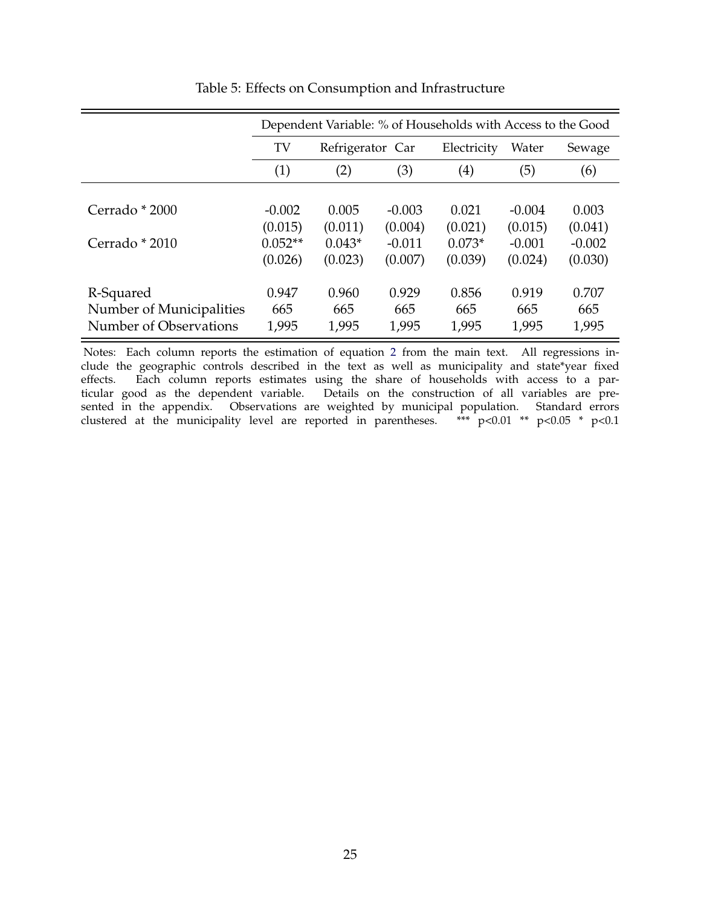|                          | Dependent Variable: % of Households with Access to the Good |                  |          |                   |          |          |
|--------------------------|-------------------------------------------------------------|------------------|----------|-------------------|----------|----------|
|                          | TV                                                          | Refrigerator Car |          | Electricity       | Water    | Sewage   |
|                          | (1)                                                         | (2)              | (3)      | $\left( 4\right)$ | (5)      | (6)      |
|                          |                                                             |                  |          |                   |          |          |
| Cerrado * 2000           | $-0.002$                                                    | 0.005            | $-0.003$ | 0.021             | $-0.004$ | 0.003    |
|                          | (0.015)                                                     | (0.011)          | (0.004)  | (0.021)           | (0.015)  | (0.041)  |
| Cerrado * 2010           | $0.052**$                                                   | $0.043*$         | $-0.011$ | $0.073*$          | $-0.001$ | $-0.002$ |
|                          | (0.026)                                                     | (0.023)          | (0.007)  | (0.039)           | (0.024)  | (0.030)  |
| R-Squared                | 0.947                                                       | 0.960            | 0.929    | 0.856             | 0.919    | 0.707    |
| Number of Municipalities | 665                                                         | 665              | 665      | 665               | 665      | 665      |
| Number of Observations   | 1,995                                                       | 1,995            | 1,995    | 1,995             | 1,995    | 1,995    |

#### Table 5: Effects on Consumption and Infrastructure

Notes: Each column reports the estimation of equation 2 from the main text. All regressions include the geographic controls described in the text as well as municipality and state\*year fixed effects. Each column reports estimates using the share of households with access to a particular good as the dependent variable. Details on the construction of all variables are presented in the appendix. Observations are weighted by municipal population. Standard errors clustered at the municipality level are reported in parentheses. \*\*\* p<0.01 \*\* p<0.05 \* p<0.1